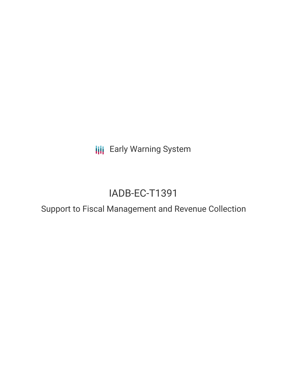**III** Early Warning System

# IADB-EC-T1391

Support to Fiscal Management and Revenue Collection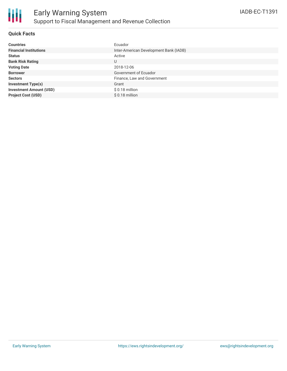

## **Quick Facts**

| <b>Countries</b>               | Ecuador                                |
|--------------------------------|----------------------------------------|
| <b>Financial Institutions</b>  | Inter-American Development Bank (IADB) |
| <b>Status</b>                  | Active                                 |
| <b>Bank Risk Rating</b>        | U                                      |
| <b>Voting Date</b>             | 2018-12-06                             |
| <b>Borrower</b>                | Government of Ecuador                  |
| <b>Sectors</b>                 | Finance, Law and Government            |
| <b>Investment Type(s)</b>      | Grant                                  |
| <b>Investment Amount (USD)</b> | $$0.18$ million                        |
| <b>Project Cost (USD)</b>      | $$0.18$ million                        |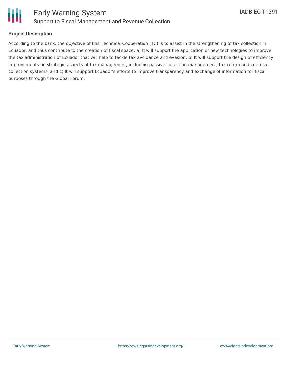

## **Project Description**

According to the bank, the objective of this Technical Cooperation (TC) is to assist in the strengthening of tax collection in Ecuador, and thus contribute to the creation of fiscal space: a) It will support the application of new technologies to improve the tax administration of Ecuador that will help to tackle tax avoidance and evasion; b) It will support the design of efficiency improvements on strategic aspects of tax management, including passive collection management, tax return and coercive collection systems; and c) It will support Ecuador's efforts to improve transparency and exchange of information for fiscal purposes through the Global Forum.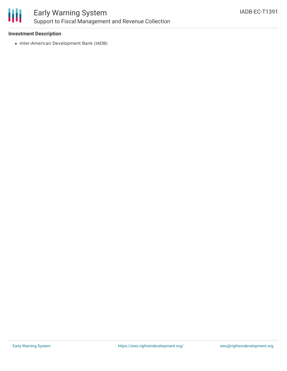

## **Investment Description**

• Inter-American Development Bank (IADB)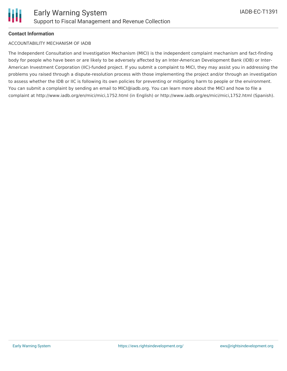

## **Contact Information**

#### ACCOUNTABILITY MECHANISM OF IADB

The Independent Consultation and Investigation Mechanism (MICI) is the independent complaint mechanism and fact-finding body for people who have been or are likely to be adversely affected by an Inter-American Development Bank (IDB) or Inter-American Investment Corporation (IIC)-funded project. If you submit a complaint to MICI, they may assist you in addressing the problems you raised through a dispute-resolution process with those implementing the project and/or through an investigation to assess whether the IDB or IIC is following its own policies for preventing or mitigating harm to people or the environment. You can submit a complaint by sending an email to MICI@iadb.org. You can learn more about the MICI and how to file a complaint at http://www.iadb.org/en/mici/mici,1752.html (in English) or http://www.iadb.org/es/mici/mici,1752.html (Spanish).